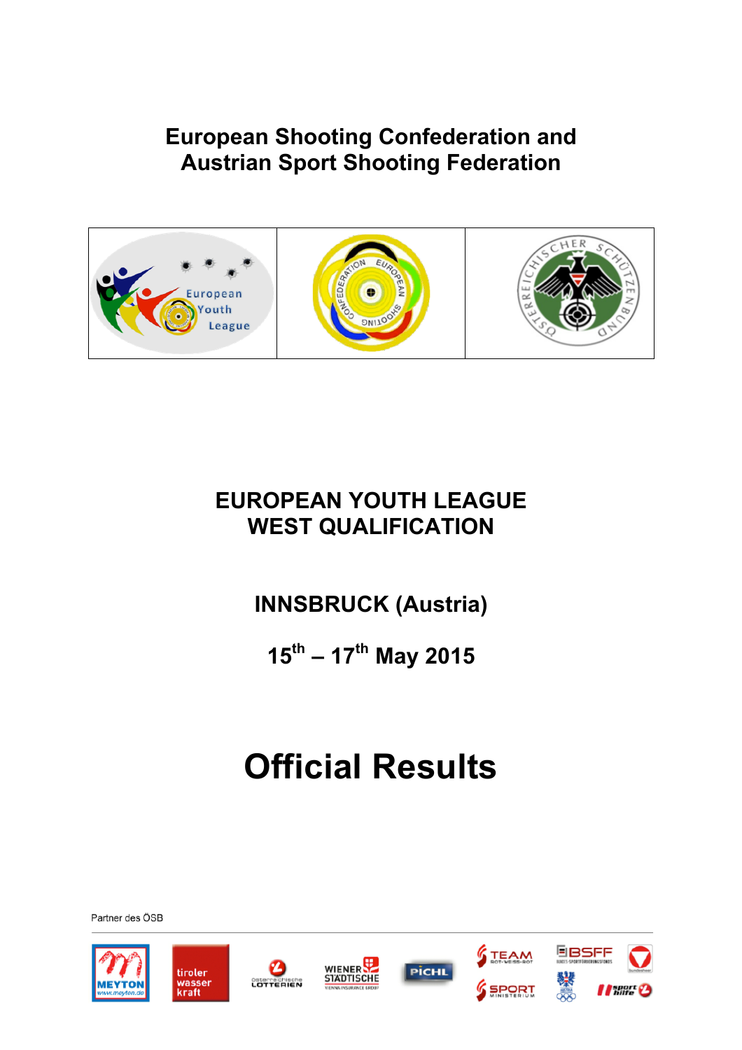### **European Shooting Confederation and Austrian Sport Shooting Federation**







### **EUROPEAN YOUTH LEAGUE WEST QUALIFICATION**

## **INNSBRUCK (Austria)**

**15th – 17th May 2015**

# **Official Results**











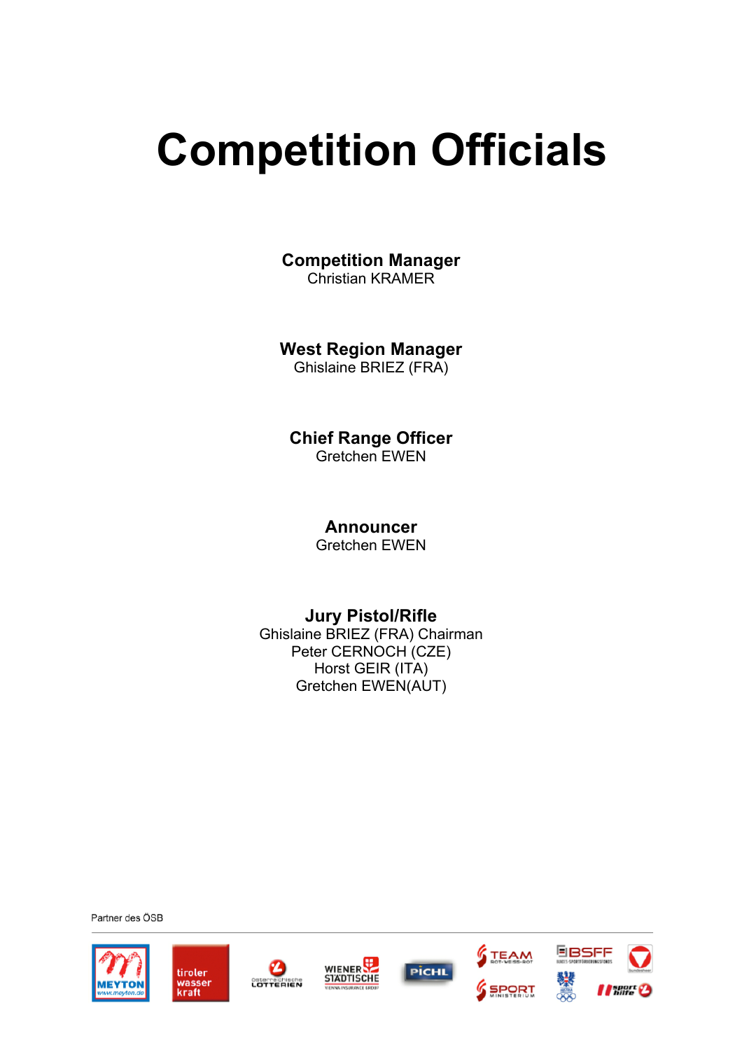# **Competition Officials**

**Competition Manager** Christian KRAMER

**West Region Manager**

Ghislaine BRIEZ (FRA)

**Chief Range Officer** Gretchen EWEN

**Announcer**

Gretchen EWEN

#### **Jury Pistol/Rifle**

Ghislaine BRIEZ (FRA) Chairman Peter CERNOCH (CZE) Horst GEIR (ITA) Gretchen EWEN(AUT)

Partner des ÖSB





❷







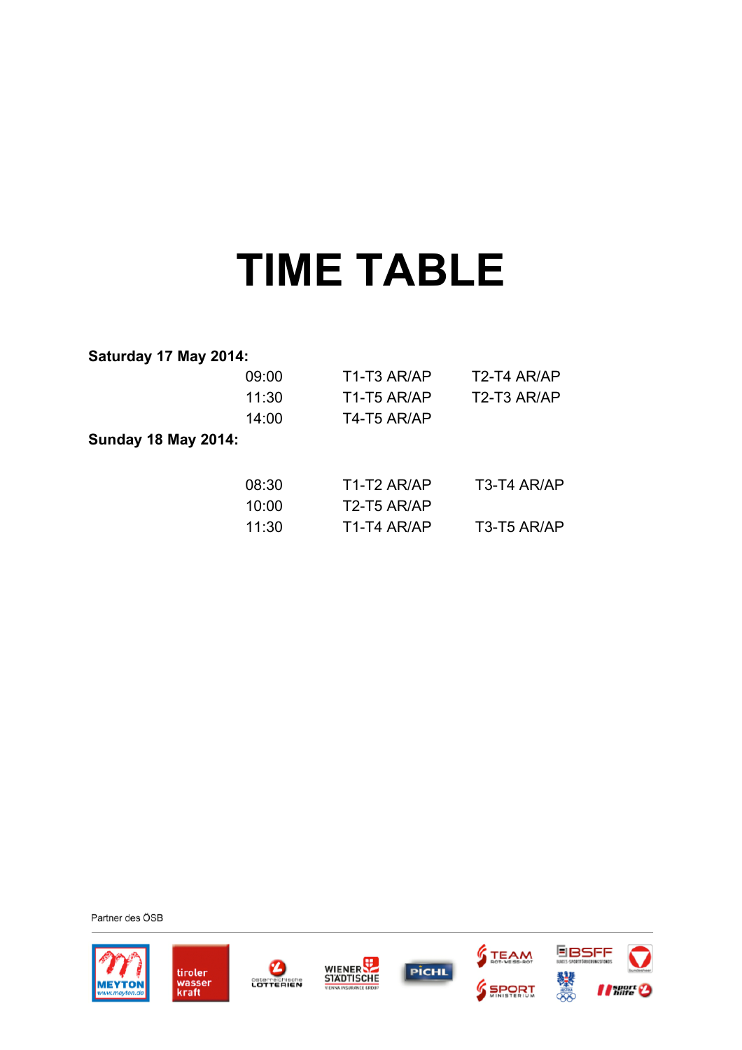# **TIME TABLE**

#### **Saturday 17 May 2014:**

|                            | 09:00 | T1-T3 AR/AP                          | T <sub>2</sub> -T <sub>4</sub> AR/AP |
|----------------------------|-------|--------------------------------------|--------------------------------------|
|                            | 11:30 | T1-T5 AR/AP                          | T2-T3 AR/AP                          |
|                            | 14:00 | T4-T5 AR/AP                          |                                      |
| <b>Sunday 18 May 2014:</b> |       |                                      |                                      |
|                            | 08:30 | T1-T2 AR/AP                          | T3-T4 AR/AP                          |
|                            | 10:00 | T2-T5 AR/AP                          |                                      |
|                            | 11:30 | T <sub>1</sub> -T <sub>4</sub> AR/AP | T <sub>3</sub> -T <sub>5</sub> AR/AP |











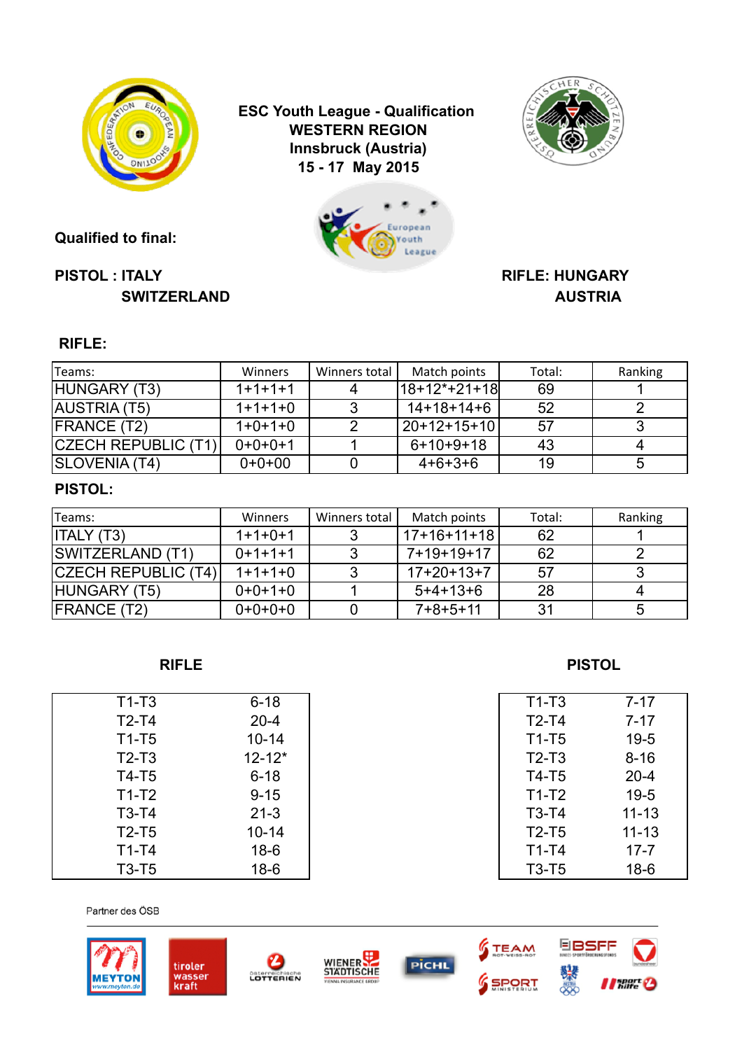

**Qualified to final:**

**ESC Youth League - Qualification Innsbruck (Austria) 15 - 17 May 2015 WESTERN REGION**





#### **PISTOL : ITALY RIFLE: HUNGARY SWITZERLAND AUSTRIA**

### **RIFLE:**

| Teams:              | Winners   | Winners total | Match points   | Total: | Ranking |
|---------------------|-----------|---------------|----------------|--------|---------|
| HUNGARY (T3)        | $1+1+1+1$ |               | l18+12*+21+18l | 69     |         |
| AUSTRIA (T5)        | $1+1+1+0$ |               | $14+18+14+6$   | 52     |         |
| <b>FRANCE (T2)</b>  | $1+0+1+0$ |               | 20+12+15+10    | 57     |         |
| CZECH REPUBLIC (T1) | $0+0+0+1$ |               | $6+10+9+18$    | 43     |         |
| SLOVENIA (T4)       | $0+0+00$  |               | $4+6+3+6$      | 19     |         |

#### **PISTOL:**

| Teams:                     | Winners   | Winners total | Match points | Total: | Ranking |
|----------------------------|-----------|---------------|--------------|--------|---------|
| <b>ITALY (T3)</b>          | $1+1+0+1$ |               | 17+16+11+18  | 62     |         |
| <b>SWITZERLAND (T1)</b>    | $0+1+1+1$ |               | 7+19+19+17   | 62     |         |
| <b>CZECH REPUBLIC (T4)</b> | $1+1+1+0$ |               | $17+20+13+7$ | 57     |         |
| HUNGARY (T5)               | $0+0+1+0$ |               | $5+4+13+6$   | 28     |         |
| <b>FRANCE (T2)</b>         | $0+0+0+0$ |               | $7+8+5+11$   | 31     |         |

| $T1-T3$ | $6 - 18$   | $T1-T3$ | $7 - 17$  |
|---------|------------|---------|-----------|
| $T2-T4$ | $20 - 4$   | $T2-T4$ | $7 - 17$  |
| $T1-T5$ | $10 - 14$  | $T1-T5$ | $19-5$    |
| $T2-T3$ | $12 - 12*$ | $T2-T3$ | $8 - 16$  |
| $T4-T5$ | $6 - 18$   | T4-T5   | $20 - 4$  |
| $T1-T2$ | $9 - 15$   | $T1-T2$ | $19 - 5$  |
| $T3-T4$ | $21 - 3$   | $T3-T4$ | $11 - 13$ |
| $T2-T5$ | $10 - 14$  | $T2-T5$ | $11 - 13$ |
| $T1-T4$ | $18-6$     | $T1-T4$ | $17 - 7$  |
| $T3-T5$ | $18-6$     | $T3-T5$ | $18-6$    |















| 11-13   | 7-17      |
|---------|-----------|
| $T2-T4$ | $7 - 17$  |
| $T1-T5$ | $19 - 5$  |
| $T2-T3$ | $8 - 16$  |
| T4-T5   | $20 - 4$  |
| $T1-T2$ | $19 - 5$  |
| T3-T4   | $11 - 13$ |
| $T2-T5$ | $11 - 13$ |
| $T1-T4$ | $17 - 7$  |
| T3-T5   | $18-6$    |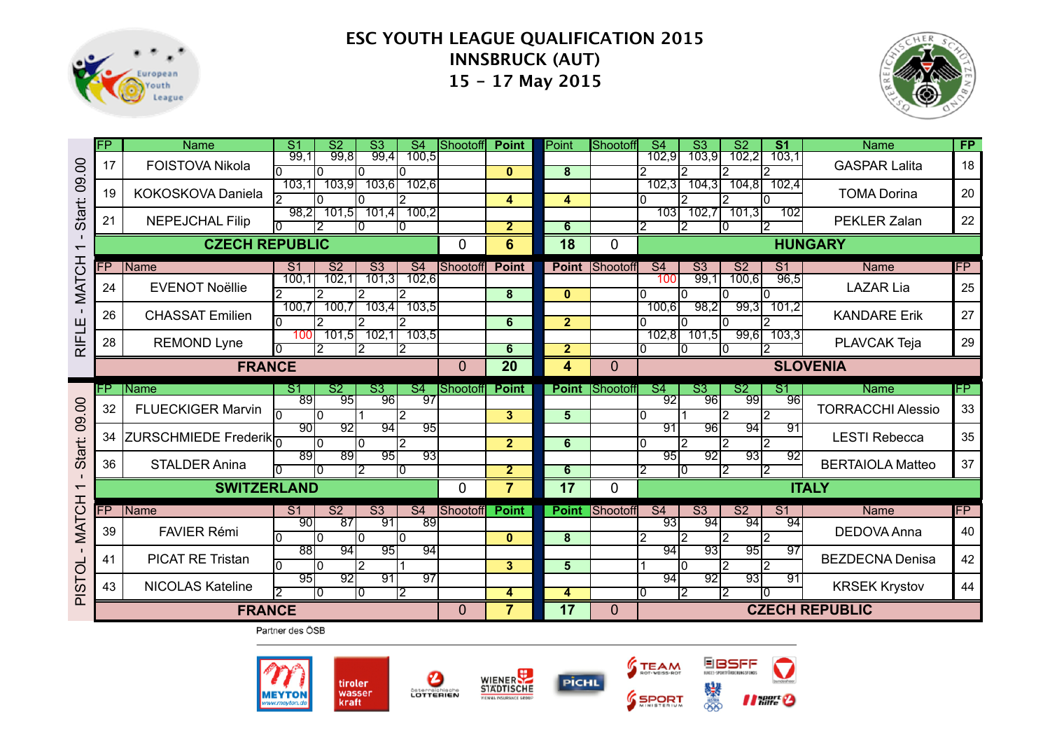



|                          | $\overline{\mathsf{FP}}$ | <b>Name</b>              | $\overline{\mathsf{S}1}$<br>S <sub>2</sub><br>$\overline{\mathsf{S}3}$<br>$\overline{\mathsf{S}4}$ | Shootoff        | <b>Point</b>    | Point          | <b>Shootoff</b> | S3<br>$\overline{S4}$                              | S <sub>1</sub><br>$\overline{\text{S2}}$    | <b>Name</b>              | <b>FP</b> |
|--------------------------|--------------------------|--------------------------|----------------------------------------------------------------------------------------------------|-----------------|-----------------|----------------|-----------------|----------------------------------------------------|---------------------------------------------|--------------------------|-----------|
| 00                       | 17                       | <b>FOISTOVA Nikola</b>   | 99.8<br>100,5<br>99.1<br>99,4<br>l0<br>I٥<br>10                                                    |                 | $\mathbf{0}$    | 8              | 2               | 703,9<br>102,9                                     | 702,2<br>103.1                              | <b>GASPAR Lalita</b>     | 18        |
| $\overline{8}$           | 19                       | KOKOSKOVA Daniela        | 103.1<br>103,9<br>103.61<br>102,6<br>12                                                            |                 | 4               | 4              | I٥              | 104,3<br>102,3                                     | 104,81<br>102,4                             | <b>TOMA Dorina</b>       | 20        |
| <b>Start:</b>            | 21                       | <b>NEPEJCHAL Filip</b>   | 100,2<br>98,2<br>101.51<br>101.4<br>2<br>IO.                                                       |                 | $\overline{2}$  | 6              | I2              | 102.7<br>1031<br>12<br>I۵                          | 101,3<br>102                                | PEKLER Zalan             | 22        |
| $\overline{\phantom{0}}$ |                          | <b>CZECH REPUBLIC</b>    |                                                                                                    | 0               | 6               | 18             | 0               |                                                    |                                             | <b>HUNGARY</b>           |           |
|                          | P                        | Name                     | S <sub>2</sub><br>S <sub>3</sub><br>S <sub>4</sub><br>S <sub>1</sub>                               | Shootoff        | <b>Point</b>    | <b>Point</b>   | Shootoff        | S <sub>4</sub><br>$\overline{\text{S3}}$           | <b>S2</b><br>S <sub>1</sub>                 | Name                     | FP        |
| <b>MATCH</b>             | 24                       | <b>EVENOT Noëllie</b>    | 102,1<br>100,1<br>101.3<br>102,6<br>2<br>2                                                         |                 | 8               | $\mathbf{0}$   | I٥              | 99,1<br>100<br>I۵                                  | 100,6<br>96,5                               | <b>LAZAR Lia</b>         | 25        |
|                          | 26                       | <b>CHASSAT Emilien</b>   | 703,4<br>100,7<br>700,7<br>103,5<br>2<br>12                                                        |                 | 6               | $\overline{2}$ | I٥              | 98,2<br>100,6                                      | 99,3<br>701,2                               | <b>KANDARE Erik</b>      | 27        |
| <b>RIFLE</b>             | 28                       | <b>REMOND Lyne</b>       | 102,1<br>101,5<br>103,5<br>100<br>12<br>l2                                                         |                 | 6               | $\overline{2}$ | 10              | 101,5<br>102,8<br>10<br>10                         | 99,6<br>103,3<br>2                          | PLAVCAK Teja             | 29        |
|                          |                          | <b>FRANCE</b>            |                                                                                                    | $\overline{0}$  | $\overline{20}$ | 4              | $\overline{0}$  |                                                    |                                             | <b>SLOVENIA</b>          |           |
|                          |                          |                          |                                                                                                    |                 |                 |                |                 |                                                    |                                             |                          |           |
|                          | P.                       | <b>Name</b>              | IST<br><sup>S2</sup><br>S3<br>S <sub>4</sub>                                                       | Shootoff        | <b>Point</b>    | <b>Point</b>   | Shootoff        | S <sub>4</sub><br>S3                               | S <sub>1</sub><br>S <sub>2</sub>            | Name                     | FP.       |
| $\overline{0}$           | 32                       | <b>FLUECKIGER Marvin</b> | 89<br>97<br>95<br>96<br><u>n</u><br>I٥<br>12                                                       |                 | 3 <sup>1</sup>  | 5              | I٥              | 92<br>96<br>12                                     | 96<br>99<br>$\overline{2}$                  | <b>TORRACCHI Alessio</b> | 33        |
| $\overline{8}$           | 34                       | ZURSCHMIEDE Frederik     | ९०।<br>92<br>94<br>To<br>12                                                                        | 95              | $\overline{2}$  | 6              | I٥              | 91<br>96<br>12                                     | 94<br>91<br>12<br>p                         | <b>LESTI Rebecca</b>     | 35        |
| Start:                   | 36                       | <b>STALDER Anina</b>     | 89<br><u>89 </u><br>$\overline{95}$<br>10<br>10                                                    | $\overline{93}$ | $\overline{2}$  | 6              | 2               | 95<br>921<br>10                                    | 93<br>$\overline{92}$<br>12<br>2            | <b>BERTAIOLA Matteo</b>  | 37        |
| $\overline{\phantom{0}}$ |                          | <b>SWITZERLAND</b>       |                                                                                                    | $\Omega$        | $\overline{7}$  | 17             | $\Omega$        |                                                    |                                             | <b>ITALY</b>             |           |
|                          | Ρ                        | Name                     | $\overline{\text{S2}}$<br>$\overline{\text{S3}}$<br>$\overline{\mathsf{S}4}$<br>S <sub>1</sub>     | Shootoff        | <b>Point</b>    | <b>Point</b>   | Shootoff        | $\overline{\text{S3}}$<br>$\overline{\mathsf{S}4}$ | $\overline{\mathsf{S2}}$<br>$\overline{S1}$ | Name                     | <b>FP</b> |
| <b>MATCH</b>             | 39                       | <b>FAVIER Rémi</b>       | 90<br>$\overline{87}$<br>-91<br>89<br>l0<br>10<br>10<br>I٥                                         |                 | $\mathbf{0}$    | 8              | l2              | 93<br>94<br>12<br>l2                               | 94<br>94<br>2                               | <b>DEDOVA Anna</b>       | 40        |
|                          | 41                       | <b>PICAT RE Tristan</b>  | 88<br>94<br>95<br>94<br>I٥<br>l0<br>12                                                             |                 | 3 <sup>1</sup>  | 5              |                 | 94<br>९३१<br>I٥<br>l2                              | 95<br>97<br>2                               | <b>BEZDECNA Denisa</b>   | 42        |
| PISTOL                   | 43                       | <b>NICOLAS Kateline</b>  | 95<br>$\overline{97}$<br>92<br>91<br>ा०<br>12<br>10                                                |                 | 4               | 4              | 10              | 94<br>92<br>12<br>12                               | ९३।<br>91                                   | <b>KRSEK Krystov</b>     | 44        |







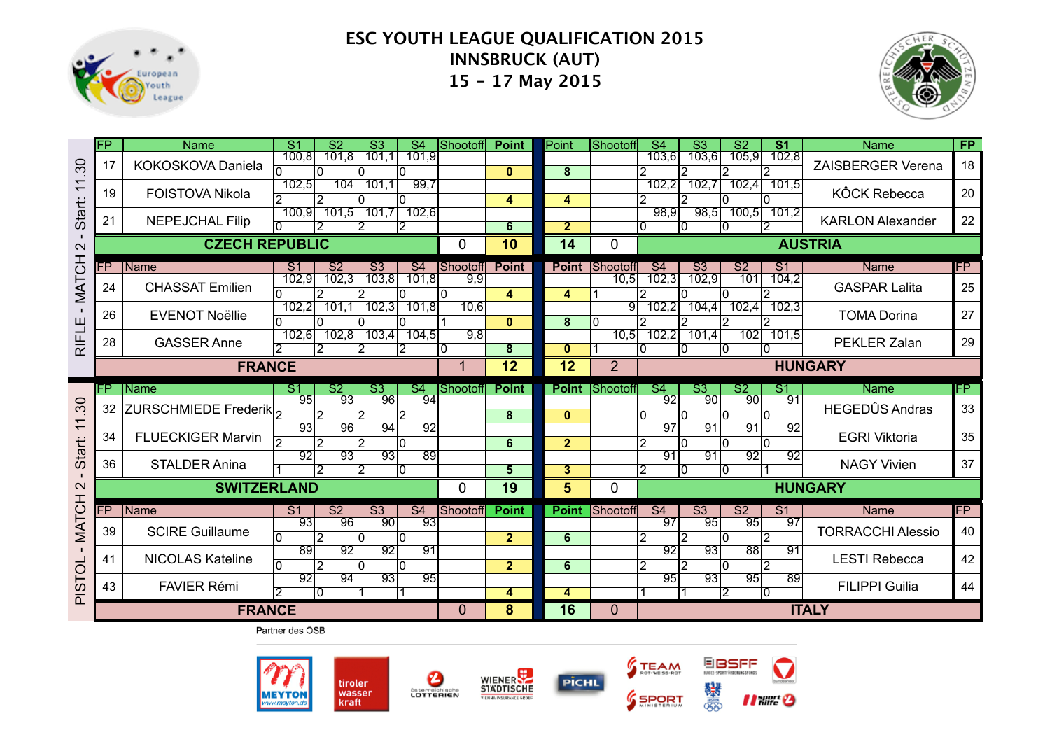



|                         | FP | <b>Name</b>                 | $\overline{\mathsf{S}}$ 1<br>S <sub>2</sub><br>$\overline{\mathsf{S}3}$<br>$\overline{\mathsf{S}4}$ | Shootoff       | <b>Point</b>            | Point                   | Shootoff       | S3<br>$\overline{S4}$                    | S <sub>1</sub><br>$\overline{\text{S2}}$ | <b>Name</b>              | <b>FP</b> |
|-------------------------|----|-----------------------------|-----------------------------------------------------------------------------------------------------|----------------|-------------------------|-------------------------|----------------|------------------------------------------|------------------------------------------|--------------------------|-----------|
| 30                      | 17 | KOKOSKOVA Daniela           | 100, 8<br>701.8<br>701.1<br>101.9                                                                   |                | $\mathbf{0}$            | 8                       |                | 103.61<br><u>103.61</u>                  | 102,8                                    | <b>ZAISBERGER Verena</b> | 18        |
| $\overline{\mathbf{r}}$ | 19 | <b>FOISTOVA Nikola</b>      | 99,7<br>702,5<br>104<br>101,1<br>2<br>۱O                                                            |                | 4                       | 4                       |                | 702,7<br>102,2<br>12                     | 102,4<br>101,5                           | <b>KÔCK Rebecca</b>      | 20        |
| <b>Start:</b>           | 21 | <b>NEPEJCHAL Filip</b>      | 102,6<br>100,9<br>101,5<br>101.7<br>2<br>2<br>2                                                     |                | $6\overline{6}$         | $\overline{2}$          |                | 98.9<br>98,5<br>I٥<br>I٥                 | 100,5<br>101.2                           | <b>KARLON Alexander</b>  | 22        |
| $\mathbf{\Omega}$       |    | <b>CZECH REPUBLIC</b>       |                                                                                                     | 0              | 10                      | 14                      | 0              |                                          |                                          | <b>AUSTRIA</b>           |           |
|                         | P. | Name                        | S <sub>2</sub><br>S <sub>3</sub><br>S <sub>4</sub><br>S <sub>1</sub>                                | Shootoff       | <b>Point</b>            | <b>Point</b>            | Shootoff       | S <sub>4</sub><br>S <sub>3</sub>         | S <sub>2</sub><br>S <sub>1</sub>         | Name                     | FP        |
| <b>MATCH</b>            | 24 | <b>CHASSAT Emilien</b>      | 102,3<br>102,9<br>103,8<br>101,8<br>$\Omega$                                                        | 9,9            | 4                       | 4                       | 10,5           | 102,3<br>102,9                           | 104,2<br>101<br>2                        | <b>GASPAR Lalita</b>     | 25        |
|                         | 26 | <b>EVENOT Noëllie</b>       | 102,2<br>102,3<br>101,8<br>101,1<br>0                                                               | 10.6           | $\mathbf{0}$            | 8                       | 91<br>IO.      | 102,2<br>104,4                           | 102,4<br>102,3                           | <b>TOMA Dorina</b>       | 27        |
| RIFLE                   | 28 | <b>GASSER Anne</b>          | 102,8<br>103,4<br>704,5<br>102,6<br>2<br>12                                                         | 9,8<br>10      | $\overline{\mathbf{8}}$ | 0                       | 10,5           | 102,2<br>101,4<br>10.<br>10.<br>ΙO       | 102<br>101,5<br>IO                       | PEKLER Zalan             | 29        |
|                         |    | <b>FRANCE</b>               |                                                                                                     | 1              | 12                      | 12                      | 2 <sup>1</sup> |                                          |                                          | <b>HUNGARY</b>           |           |
|                         |    |                             |                                                                                                     |                |                         |                         |                |                                          |                                          |                          |           |
|                         | FP | Name                        | S1<br>S2<br>S <sub>3</sub><br>S <sub>4</sub>                                                        | Shootoff       | <b>Point</b>            | <b>Point</b>            | Shootoff       | S <sub>4</sub><br>S <sub>3</sub>         | S <sub>2</sub><br>S1                     | <b>Name</b>              | FP.       |
| 30                      | 32 | <b>ZURSCHMIEDE Frederik</b> | 95<br>93<br>961<br>94<br>12<br>12<br>2                                                              |                | 8                       | $\bf{0}$                |                | $\overline{92}$<br>901<br>l0<br>I٥<br>I۵ | 91<br>90I<br>ln.                         | <b>HEGEDÛS Andras</b>    | 33        |
| $\overline{1}$          | 34 | <b>FLUECKIGER Marvin</b>    | 93<br>94<br>92<br>96<br>ヮ<br>12<br>In                                                               |                | $6\phantom{1}$          | 2 <sup>1</sup>          |                | 97<br>91<br>12<br>I٥<br>۱n               | 91<br>92<br>l0                           | <b>EGRI Viktoria</b>     | 35        |
| Start:                  | 36 | <b>STALDER Anina</b>        | 92<br>९३।<br>931<br>89<br>2<br>IО                                                                   |                | $5\overline{)}$         | $\overline{\mathbf{3}}$ |                | 91<br>91<br>$\overline{2}$<br>10<br>I٥   | $\overline{92}$<br>92                    | <b>NAGY Vivien</b>       | 37        |
| $\mathbf{\Omega}$       |    | <b>SWITZERLAND</b>          |                                                                                                     | 0              | 19                      | 5                       | 0              |                                          |                                          | <b>HUNGARY</b>           |           |
|                         | Ë  | Name                        | $\overline{\text{S2}}$<br>$\overline{\text{S3}}$<br>S <sub>4</sub><br>S <sub>1</sub>                | Shootoff       | <b>Point</b>            | <b>Point</b>            | Shootoff       | S <sub>4</sub><br>$\overline{\text{S3}}$ | $\overline{S1}$<br>$\overline{S2}$       | Name                     | <b>FP</b> |
| <b>MATCH</b>            | 39 | <b>SCIRE Guillaume</b>      | -931<br>93<br>90<br>961<br>l0<br>10                                                                 |                | 2 <sub>2</sub>          | 6                       |                | 97<br>95<br>2<br>l2                      | 97<br>95<br>$\overline{2}$               | <b>TORRACCHI Alessio</b> | 40        |
| $\blacksquare$          | 41 | <b>NICOLAS Kateline</b>     | 89<br>91<br>92<br>92<br>l0<br>12<br>l0                                                              |                | 2 <sub>1</sub>          | 6                       |                | 92<br>93<br>l2<br>l2<br>I٥               | 881<br>-91<br>$\overline{2}$             | <b>LESTI Rebecca</b>     | 42        |
|                         | 43 | <b>FAVIER Rémi</b>          | 92<br>९३।<br>95<br>94<br>10<br>∣1                                                                   |                | 4                       | 4                       |                | ९५<br>93<br>l2                           | 95<br>89<br>I٥                           | <b>FILIPPI Guilia</b>    | 44        |
| <b>PISTOL</b>           |    | <b>FRANCE</b>               |                                                                                                     | $\overline{0}$ | 8                       | 16                      | $\mathbf 0$    |                                          |                                          | <b>ITALY</b>             |           |







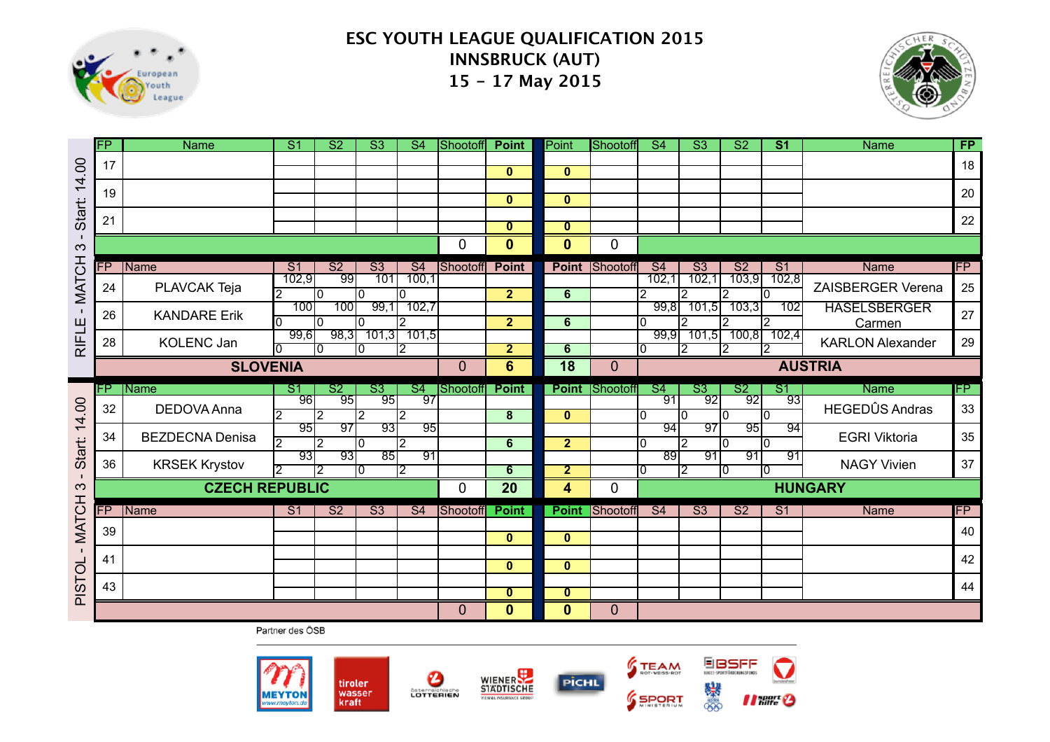



|                            | FP       | <b>Name</b>                | $\overline{\mathsf{S}}$ 1       | S <sub>2</sub>                   | $\overline{\mathsf{S}3}$ | S <sub>4</sub>        | Shootoff       | <b>Point</b>                            | Point                        | <b>Shootoff</b> | $\overline{S4}$          | $\overline{\mathsf{S}3}$ | $\overline{\mathsf{S2}}$ | S <sub>1</sub>        | <b>Name</b>                          | <b>FP</b> |
|----------------------------|----------|----------------------------|---------------------------------|----------------------------------|--------------------------|-----------------------|----------------|-----------------------------------------|------------------------------|-----------------|--------------------------|--------------------------|--------------------------|-----------------------|--------------------------------------|-----------|
| 14.00                      | 17       |                            |                                 |                                  |                          |                       |                | $\mathbf{0}$                            | $\mathbf{0}$                 |                 |                          |                          |                          |                       |                                      | 18        |
|                            | 19       |                            |                                 |                                  |                          |                       |                | $\mathbf{0}$                            | $\mathbf{0}$                 |                 |                          |                          |                          |                       |                                      | 20        |
| Start:                     | 21       |                            |                                 |                                  |                          |                       |                |                                         |                              |                 |                          |                          |                          |                       |                                      | 22        |
| $\mathbf{I}$               |          |                            |                                 |                                  |                          |                       |                | $\overline{\mathbf{0}}$                 | $\overline{0}$               |                 |                          |                          |                          |                       |                                      |           |
| $\infty$                   |          |                            |                                 |                                  |                          |                       | 0              | $\mathbf{0}$                            | $\mathbf{0}$                 | 0               |                          |                          |                          |                       |                                      |           |
|                            | FP       | Name                       | $\overline{S1}$                 | $\overline{\text{S2}}$           | $\overline{\text{S3}}$   | S <sub>4</sub>        | Shootoff       | <b>Point</b>                            | <b>Point</b>                 | Shootoff        | $\overline{\mathsf{S}4}$ | $\overline{\text{S3}}$   | $\overline{\text{S2}}$   | S <sub>1</sub>        | <b>Name</b>                          | <b>FP</b> |
| <b>MATCH</b>               | 24       | PLAVCAK Teja               | 102,9                           | ९९<br>l0                         | 101<br>I۵                | 100,1<br>I۵           |                | $\overline{2}$                          | 6                            |                 | 102,1<br>2               | 102,1<br>$\overline{2}$  | 103,9<br>12              | 102,8<br>I٥           | ZAISBERGER Verena                    | 25        |
|                            | 26       | <b>KANDARE Erik</b>        | 100                             | 100                              | 99,1                     | 702,7                 |                |                                         |                              |                 | 99,8                     | 701,5                    | 703,3                    | 102                   | <b>HASELSBERGER</b>                  | 27        |
|                            |          |                            |                                 | ١O                               | I٥                       | $\overline{2}$        |                | $\overline{2}$                          | 6                            |                 | I٥                       | $\mathcal{P}$            | 2                        | $\overline{2}$        | Carmen                               |           |
| RIFLE                      | 28       | <b>KOLENC Jan</b>          | 99,6                            | 98.3<br>I٥                       | 101,3<br>m               | 101.5<br>12.          |                | $\overline{2}$                          | 6                            |                 | 99.9<br>I٥               | 701,5<br>12.             | 100, 8<br>2              | 102,4<br>2            | <b>KARLON Alexander</b>              | 29        |
|                            |          | <b>SLOVENIA</b>            |                                 |                                  |                          |                       | $\overline{0}$ | $6\phantom{a}$                          | 18                           | $\mathbf{0}$    |                          |                          |                          |                       | <b>AUSTRIA</b>                       |           |
|                            |          |                            |                                 |                                  |                          |                       |                |                                         |                              |                 |                          |                          |                          |                       |                                      |           |
|                            |          |                            |                                 |                                  |                          |                       |                |                                         |                              |                 |                          |                          |                          |                       |                                      |           |
|                            | FP<br>32 | <b>Name</b><br>DEDOVA Anna | $\overline{\mathsf{S}}$ 1<br>96 | S <sub>2</sub><br>95             | S3<br>95                 | S <sub>4</sub><br>97  | Shootoff       | <b>Point</b>                            | <b>Point</b>                 | Shootoff        | S <sub>4</sub><br>91     | S3<br>92                 | S <sub>2</sub><br>92     | S <sub>1</sub><br>93  | <b>Name</b><br><b>HEGEDÛS Andras</b> | FP<br>33  |
| 14.00                      |          |                            | 2<br>95                         | $\mathcal{P}$<br>$\overline{97}$ | 12<br>$\overline{93}$    | l2<br>$\overline{95}$ |                | $\overline{\mathbf{8}}$                 | $\mathbf{0}$                 |                 | I٥<br>94                 | I٥<br>$\overline{97}$    | I۵<br>९५।                | l٥<br>94              |                                      |           |
|                            | 34       | <b>BEZDECNA Denisa</b>     | 12                              | $\mathfrak{p}$                   | I٥                       | 2                     |                | 6                                       | $\overline{2}$               |                 | l0                       | l2                       | I۵                       | I٥                    | <b>EGRI Viktoria</b>                 | 35        |
| Start:                     | 36       | <b>KRSEK Krystov</b>       | $\overline{93}$<br>ヮ            | 93<br>2                          | $\overline{85}$<br>10    | $\overline{91}$       |                | 6                                       | $\overline{2}$               |                 | $\overline{89}$<br>10    | 91                       | 91<br>10                 | $\overline{91}$<br>10 | <b>NAGY Vivien</b>                   | 37        |
| $\blacksquare$<br>$\infty$ |          | <b>CZECH REPUBLIC</b>      |                                 |                                  |                          | 12                    | $\mathbf 0$    | $\overline{20}$                         | $\overline{\mathbf{4}}$      | 0               |                          | 12                       |                          |                       | <b>HUNGARY</b>                       |           |
|                            | FP       |                            | $\overline{S1}$                 | S <sub>2</sub>                   | $\overline{\text{S3}}$   | S <sub>4</sub>        | Shootoff       | <b>Point</b>                            | <b>Point</b>                 |                 | $\overline{\mathsf{S}4}$ | $\overline{\text{S3}}$   | S <sub>2</sub>           | S <sub>1</sub>        |                                      | FP        |
|                            |          | Name                       |                                 |                                  |                          |                       |                |                                         |                              | Shootoff        |                          |                          |                          |                       | Name                                 |           |
| <b>MATCH</b>               | 39       |                            |                                 |                                  |                          |                       |                | $\mathbf{0}$                            | $\mathbf{0}$                 |                 |                          |                          |                          |                       |                                      | 40        |
|                            | 41       |                            |                                 |                                  |                          |                       |                | $\mathbf{0}$                            | $\mathbf{0}$                 |                 |                          |                          |                          |                       |                                      | 42        |
|                            | 43       |                            |                                 |                                  |                          |                       |                |                                         |                              |                 |                          |                          |                          |                       |                                      | 44        |
| <b>PISTOL</b>              |          |                            |                                 |                                  |                          |                       | 0              | $\overline{\mathbf{0}}$<br>$\mathbf{0}$ | $\mathbf{0}$<br>$\mathbf{0}$ | $\mathbf 0$     |                          |                          |                          |                       |                                      |           |









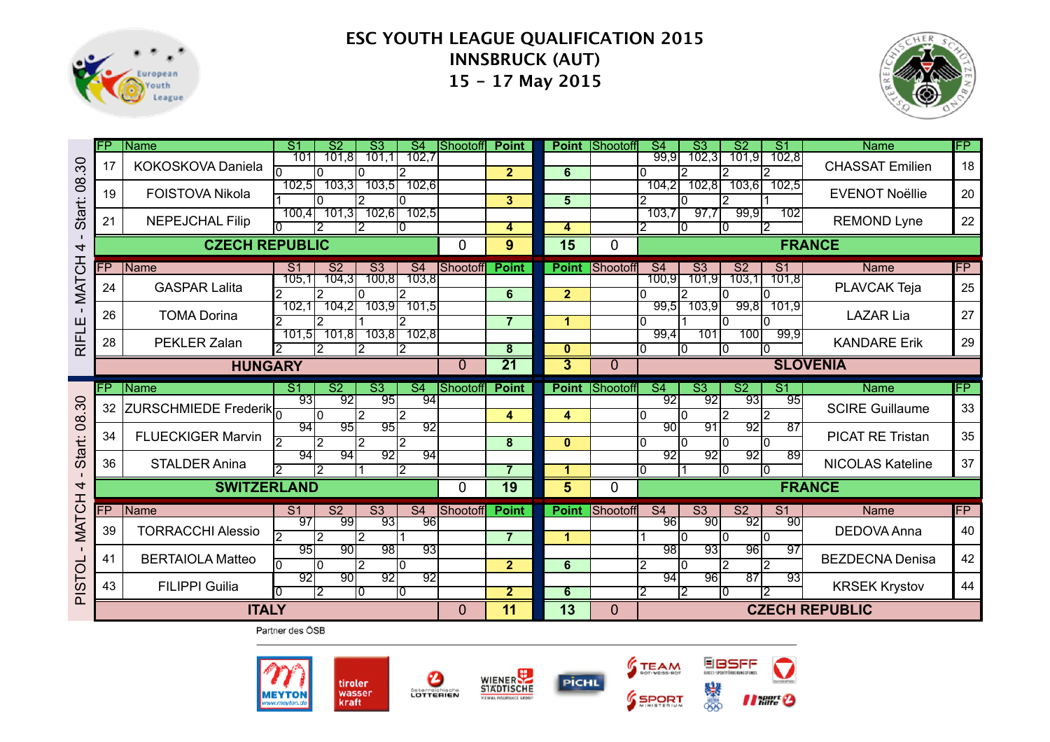



|                | <b>FP</b> | Name                     | $\overline{\mathsf{S}}$ 1         | $\overline{\text{S2}}$   | $\overline{\text{S3}}$ | $\overline{\mathsf{S}4}$ | Shootoff       | <b>Point</b>            | <b>Point</b>   | Shootoff        | $\overline{\mathsf{S}4}$<br>$\overline{\text{S3}}$ | $\overline{\text{S2}}$      | S <sub>1</sub>           | <b>Name</b>             | FP        |
|----------------|-----------|--------------------------|-----------------------------------|--------------------------|------------------------|--------------------------|----------------|-------------------------|----------------|-----------------|----------------------------------------------------|-----------------------------|--------------------------|-------------------------|-----------|
| 30             | 17        | KOKOSKOVA Daniela        | 101<br>n                          | 101,8                    | 101,1                  | 102,7<br>12              |                | $\overline{2}$          | 6              |                 | 102,3<br>99,9<br>2                                 | 101,9                       | 102,8                    | <b>CHASSAT Emilien</b>  | 18        |
| 8 <sup>o</sup> | 19        | <b>FOISTOVA Nikola</b>   | 102,5                             | 103,3                    | 103.5                  | 102,6                    |                | $\overline{\mathbf{3}}$ | 5              |                 | 102,8<br>104.2                                     | 103,61                      | 102,5                    | <b>EVENOT Noëllie</b>   | 20        |
| Start:         | 21        | <b>NEPEJCHAL Filip</b>   | 100,4                             | 101.3                    | 102.6<br>2             | 102,5<br>IO.             |                | 4                       | 4              |                 | 97,7<br>103,7<br>10                                | 99,9<br>2<br>IО             | 102                      | <b>REMOND Lyne</b>      | 22        |
| 4              |           | <b>CZECH REPUBLIC</b>    |                                   |                          |                        |                          | 0              | 9                       | 15             | 0               |                                                    |                             | <b>FRANCE</b>            |                         |           |
|                | FP        | Name                     | S <sub>1</sub>                    | $\overline{\mathsf{S2}}$ | S <sub>3</sub>         | S <sub>4</sub>           | Shootoff       | <b>Point</b>            | <b>Point</b>   | <b>Shootoff</b> | $\overline{\mathsf{S}4}$<br>$\overline{\text{S3}}$ | S <sub>2</sub>              | $\overline{S1}$          | <b>Name</b>             | <b>FP</b> |
| <b>MATCH</b>   | 24        | <b>GASPAR Lalita</b>     | 105.1                             | 104,3<br>12              | 100,8                  | 103,8                    |                | 6                       | $\overline{2}$ |                 | 100,9<br>101,9<br>2                                | 103,1                       | 101.8                    | PLAVCAK Teja            | 25        |
|                | 26        | <b>TOMA Dorina</b>       | 102,1                             | 104,2                    | 103,91                 | 101,5                    |                | 7                       | -1             |                 | 103,9<br>99,5                                      | 99,8<br>I٨                  | 101,9                    | <b>LAZAR Lia</b>        | 27        |
| RIFLE          | 28        | PEKLER Zalan             | 101,5                             | 101,8<br>2               | 103,8                  | 102,8<br>12              |                | 8                       | $\bf{0}$       |                 | 99,4<br>101<br>10                                  | 100<br>I۵<br>ın             | 99,9                     | <b>KANDARE Erik</b>     | 29        |
|                |           | <b>HUNGARY</b>           |                                   |                          |                        |                          | $\overline{0}$ | $\overline{21}$         | $\overline{3}$ | $\overline{0}$  |                                                    |                             | <b>SLOVENIA</b>          |                         |           |
|                |           |                          |                                   |                          |                        |                          |                |                         |                |                 |                                                    |                             |                          |                         |           |
|                | FP.       | Name                     | $\overline{\mathsf{S}^1}$         | $\overline{\mathsf{S2}}$ | $\overline{\text{S3}}$ | $\overline{S4}$          | Shootoff       | <b>Point</b>            | <b>Point</b>   | Shootoff        | $\overline{S4}$<br>$\overline{\mathsf{S3}}$        | $\overline{\text{S2}}$      | $\overline{\mathsf{S}1}$ | <b>Name</b>             | FP.       |
| 30             | 32        | ZURSCHMIEDE Frederik     | 93                                | 92<br>I٥                 | 95<br>$\mathcal{P}$    | 94<br>$\overline{2}$     |                | 4                       | 4              |                 | 92<br>92<br>۱n<br>I٥                               | 93<br>2<br>$\mathfrak{p}$   | 95                       | <b>SCIRE Guillaume</b>  | 33        |
| $\infty$       | 34        | <b>FLUECKIGER Marvin</b> | 94<br>$\overline{2}$              | 95<br>12                 | ९५<br>2                | 92<br>12                 |                | 8                       | $\mathbf{0}$   |                 | 90<br>91<br>۱n<br>I٥                               | $\overline{92}$<br>I۵<br>I۵ | $\overline{87}$          | <b>PICAT RE Tristan</b> | 35        |
| Start:         | 36        | <b>STALDER Anina</b>     | 94                                | 94<br>2                  | 92                     | 94<br>2                  |                |                         | ٠              |                 | 92<br>92                                           | 92<br>I۵<br>I۵              | 89                       | <b>NICOLAS Kateline</b> | 37        |
| 4              |           | <b>SWITZERLAND</b>       |                                   |                          |                        |                          | 0              | 19                      | 5              | 0               |                                                    |                             | <b>FRANCE</b>            |                         |           |
|                | FP        | <b>IName</b>             | S <sub>1</sub>                    | $\overline{\mathsf{S2}}$ | $\overline{\text{S3}}$ | S <sub>4</sub>           | Shootoff       | <b>Point</b>            | <b>Point</b>   | Shootoff        | $\overline{\mathsf{S}4}$<br>$\overline{\text{S3}}$ | S <sub>2</sub>              | S <sub>1</sub>           | Name                    | <b>FP</b> |
| <b>MATCH</b>   | 39        | <b>TORRACCHI Alessio</b> | $\overline{97}$<br>$\overline{2}$ | 99<br>2                  | 93<br>2                | $\overline{96}$          |                | 7                       | и              |                 | $\overline{90}$<br>$\overline{96}$<br>I٥           | $\overline{92}$<br>I۵<br>I٥ | $\overline{90}$          | <b>DEDOVA Anna</b>      | 40        |
| $\blacksquare$ | 41        | <b>BERTAIOLA Matteo</b>  | 95                                | 90<br>I٥                 | 98<br>$\overline{2}$   | 93<br>I٥                 |                | $\overline{2}$          | 6              |                 | 98<br>93<br>2<br>I٥                                | 96<br>2<br>2                | 97                       | <b>BEZDECNA Denisa</b>  | 42        |
| <b>PISTOL</b>  | 43        | <b>FILIPPI Guilia</b>    | 92                                | 90<br>12                 | $\overline{92}$<br>I٥  | 92<br>10                 |                | $\overline{2}$          | 6              |                 | 94<br>96<br>12<br>$\overline{2}$                   | $\overline{87}$<br>10       | 93                       | <b>KRSEK Krystov</b>    | 44        |







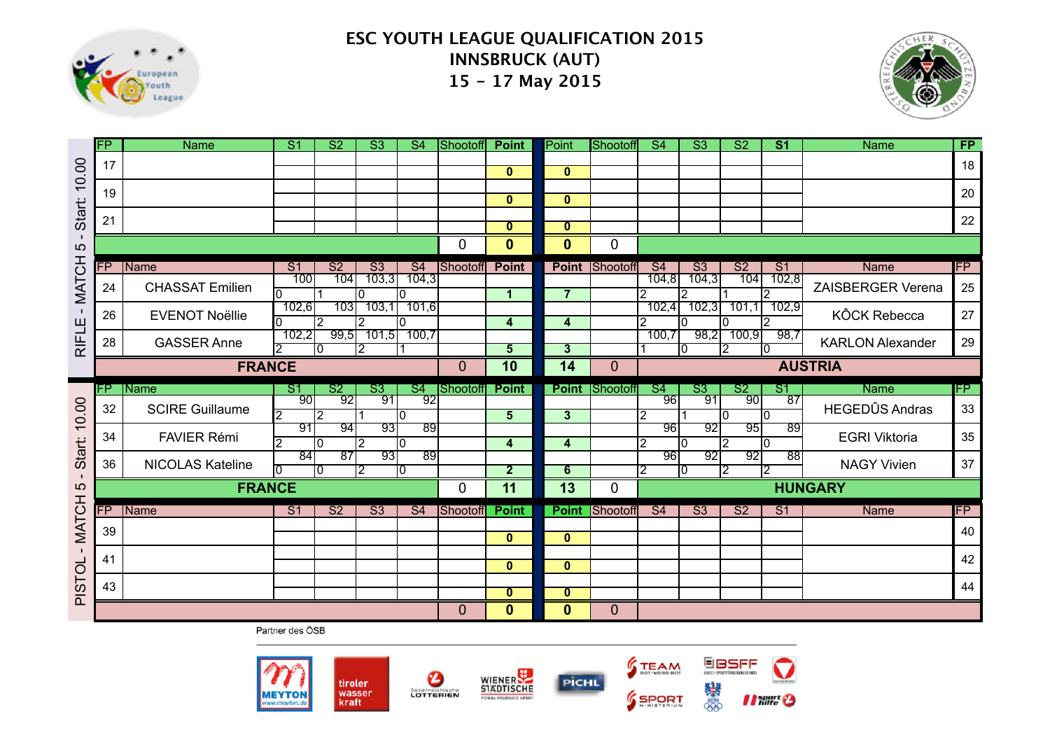



|                              | FP | <b>Name</b>             | $\overline{\mathsf{S}}$ 1 | S <sub>2</sub>         | $\overline{\text{S3}}$ | S <sub>4</sub>        | Shootoff     | <b>Point</b>                 | Point                        | Shootoff              | $\overline{S4}$                   | $\overline{\text{S3}}$ | S <sub>2</sub>         | S <sub>1</sub>         | <b>Name</b>             | FP |
|------------------------------|----|-------------------------|---------------------------|------------------------|------------------------|-----------------------|--------------|------------------------------|------------------------------|-----------------------|-----------------------------------|------------------------|------------------------|------------------------|-------------------------|----|
| 10.00                        | 17 |                         |                           |                        |                        |                       |              | $\overline{0}$               | $\mathbf{0}$                 |                       |                                   |                        |                        |                        |                         | 18 |
|                              | 19 |                         |                           |                        |                        |                       |              | $\mathbf{0}$                 | $\mathbf{0}$                 |                       |                                   |                        |                        |                        |                         | 20 |
| <b>Start:</b>                | 21 |                         |                           |                        |                        |                       |              | $\overline{\mathbf{0}}$      | $\overline{\mathbf{0}}$      |                       |                                   |                        |                        |                        |                         | 22 |
| $\mathbf{I}$<br>5            |    |                         |                           |                        |                        |                       | 0            | $\mathbf 0$                  | $\mathbf{0}$                 | 0                     |                                   |                        |                        |                        |                         |    |
|                              | FP | Name                    | $\overline{S1}$           | $\overline{\text{S2}}$ | $\overline{\text{S3}}$ | S <sub>4</sub>        | Shootoff     | <b>Point</b>                 | <b>Point</b>                 | Shootoff              | $\overline{\mathsf{S}4}$          | $\overline{\text{S3}}$ | $\overline{\text{S2}}$ | S <sub>1</sub>         | <b>Name</b>             | FP |
| <b>MATCH</b>                 | 24 | <b>CHASSAT Emilien</b>  | 100<br>I٥                 | 104                    | 103,3<br>n             | 104,3<br>ı٥           |              | $\mathbf{1}$                 | $\overline{7}$               |                       | 104,8<br>2                        | 104,3<br>2             | 104                    | 102,8<br>$\mathcal{P}$ | ZAISBERGER Verena       | 25 |
| $\blacksquare$               | 26 | <b>EVENOT Noëllie</b>   | 102,6                     | 103<br>2               | 103,1                  | 101,6<br>ıо           |              | 4                            | 4                            |                       | 102,4<br>2                        | 702,3<br>10            | 101,1<br>10            | 102,9<br>2             | <b>KÔCK Rebecca</b>     | 27 |
| <b>RIFLE</b>                 | 28 | <b>GASSER Anne</b>      | 102,2<br>2                | 99,5<br>Ю              | 101,5<br>12.           | 100.7                 |              | $\overline{5}$               | 3                            |                       | 100,7                             | 98,2<br>10             | 100,9<br>12.           | 98,7<br>I۵             | <b>KARLON Alexander</b> | 29 |
|                              |    | <b>FRANCE</b>           |                           |                        |                        |                       | $\mathbf{0}$ | 10                           | 14                           | $\overline{0}$        |                                   |                        |                        |                        | <b>AUSTRIA</b>          |    |
|                              |    |                         |                           |                        |                        |                       |              |                              |                              |                       |                                   |                        |                        |                        |                         |    |
|                              | FP | <b>Name</b>             | $\mathsf{S}1$             | S <sub>2</sub>         | S3                     | S4                    | Shootoff     | <b>Point</b>                 |                              | <b>Point Shootoff</b> | $\mathsf{S}4$                     | S3                     | S <sub>2</sub>         | S <sub>1</sub>         | <b>Name</b>             | FP |
|                              | 32 | <b>SCIRE Guillaume</b>  | 90<br>2                   | 92<br>$\overline{2}$   | 91                     | 92<br>10              |              | 5 <sup>5</sup>               | $\overline{3}$               |                       | 96<br>l2                          | -91                    | 90<br>I٥               | $\overline{87}$<br>I۵  | <b>HEGEDÛS Andras</b>   | 33 |
| 10.00                        | 34 | <b>FAVIER Rémi</b>      | 91<br>$\overline{2}$      | 94<br>I٥               | ९३।<br>$\overline{2}$  | $\overline{89}$<br>I٥ |              | $\overline{\mathbf{4}}$      | $\overline{\mathbf{4}}$      |                       | ९६।<br>$\overline{2}$             | -921<br>10             | ९५।<br>12              | 89<br>I٥               | <b>EGRI Viktoria</b>    | 35 |
| Start:                       | 36 | <b>NICOLAS Kateline</b> | 84<br>ΩI                  | $\overline{87}$<br>10  | $\overline{93}$<br>12. | $\overline{89}$<br>10 |              | $\overline{2}$               | 6                            |                       | $\overline{96}$<br>$\overline{2}$ | -921<br>10             | $\overline{92}$<br>12  | $\overline{88}$<br>2   | <b>NAGY Vivien</b>      | 37 |
| $\mathbf 5$                  |    | <b>FRANCE</b>           |                           |                        |                        |                       | 0            | $\overline{11}$              | 13                           | 0                     |                                   |                        |                        |                        | <b>HUNGARY</b>          |    |
|                              | FP | Name                    | S <sub>1</sub>            | S <sub>2</sub>         | $\overline{\text{S3}}$ | S <sub>4</sub>        | Shootoff     | <b>Point</b>                 | <b>Point</b>                 | Shootoff              | S <sub>4</sub>                    | $\overline{\text{S3}}$ | S <sub>2</sub>         | S <sub>1</sub>         | <b>Name</b>             | FP |
|                              | 39 |                         |                           |                        |                        |                       |              |                              |                              |                       |                                   |                        |                        |                        |                         | 40 |
| <b>MATCH</b><br>$\mathbf{I}$ | 41 |                         |                           |                        |                        |                       |              | $\mathbf{0}$                 | $\mathbf{0}$                 |                       |                                   |                        |                        |                        |                         | 42 |
|                              |    |                         |                           |                        |                        |                       |              | $\overline{0}$               | $\mathbf{0}$                 |                       |                                   |                        |                        |                        |                         |    |
| <b>PISTOL</b>                | 43 |                         |                           |                        |                        |                       | $\mathbf 0$  | $\overline{\mathbf{0}}$<br>0 | $\mathbf{0}$<br>$\mathbf{0}$ | 0                     |                                   |                        |                        |                        |                         | 44 |

Partner des ÖSB







EBSFF

*Il filtre &* 

澩